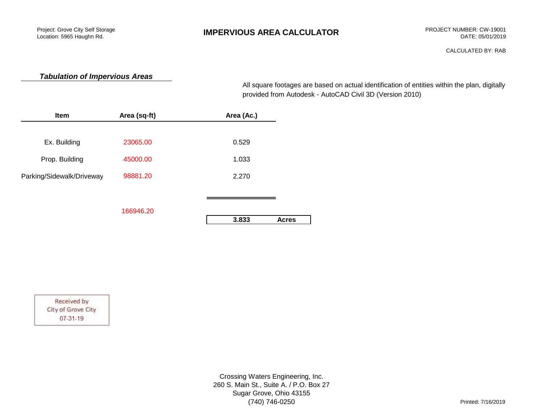# **IMPERVIOUS AREA CALCULATOR** PROJECT NUMBER: CW-19001

CALCULATED BY: RAB

## *Tabulation of Impervious Areas*

provided from Autodesk - AutoCAD Civil 3D (Version 2010) All square footages are based on actual identification of entities within the plan, digitally

| Item                      | Area (sq-ft) | Area (Ac.)            |
|---------------------------|--------------|-----------------------|
|                           |              |                       |
| Ex. Building              | 23065.00     | 0.529                 |
| Prop. Building            | 45000.00     | 1.033                 |
| Parking/Sidewalk/Driveway | 98881.20     | 2.270                 |
|                           |              |                       |
|                           | 166946.20    |                       |
|                           |              | 3.833<br><b>Acres</b> |

Received by City of Grove City 07-31-19

> Crossing Waters Engineering, Inc. 260 S. Main St., Suite A. / P.O. Box 27 Sugar Grove, Ohio 43155 (740) 746-0250 Printed: 7/16/2019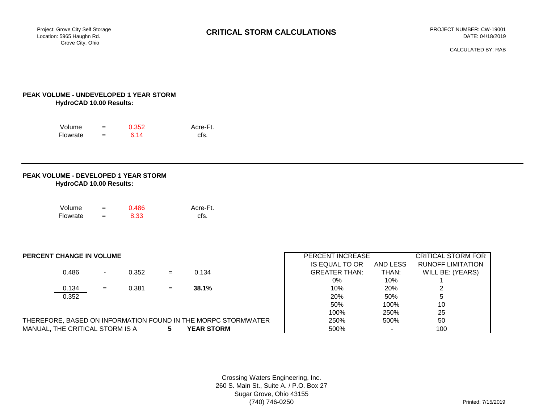CALCULATED BY: RAB

### **PEAK VOLUME - UNDEVELOPED 1 YEAR STORM HydroCAD 10.00 Results:**

| Volume   | $\overline{\phantom{0}}$ | 0.352 | Acre-Ft. |
|----------|--------------------------|-------|----------|
| Flowrate | $\overline{\phantom{0}}$ | 6.14  | cfs.     |

#### **PEAK VOLUME - DEVELOPED 1 YEAR STORM HydroCAD 10.00 Results:**

| Volume   | =   | 0.486 | Acre-Ft. |
|----------|-----|-------|----------|
| Flowrate | $=$ | 8.33  | cfs.     |

#### **PERCENT CHANGE IN VOLUME**

|       |        |       |     |       | .                    | .              |
|-------|--------|-------|-----|-------|----------------------|----------------|
| 0.486 | $\sim$ | 0.352 | $=$ | 0.134 | <b>GREATER THAN:</b> | THAN:          |
|       |        |       |     |       | 0%                   | 10%            |
| 0.134 | $=$    | J.381 | $=$ | 38.1% | 10%                  | 20%            |
| n pro |        |       |     |       | 200/                 | $E^{\text{O}}$ |

| <b>IANGE IN VOLUME</b> |                |       |     |                                                       | PERCENT INCREASE     | <b>CRITICAL STORM FOR</b> |                          |  |
|------------------------|----------------|-------|-----|-------------------------------------------------------|----------------------|---------------------------|--------------------------|--|
|                        |                |       |     |                                                       | IS EQUAL TO OR       | AND LESS                  | <b>RUNOFF LIMITATION</b> |  |
| 0.486                  | $\blacksquare$ | 0.352 | $=$ | 0.134                                                 | <b>GREATER THAN:</b> | THAN:                     | WILL BE: (YEARS)         |  |
|                        |                |       |     |                                                       | 0%                   | 10%                       |                          |  |
| 0.134                  | $=$            | 0.381 | $=$ | 38.1%                                                 | 10%                  | 20%                       | っ                        |  |
| 0.352                  |                |       |     |                                                       | 20%                  | 50%                       | 5                        |  |
|                        |                |       |     |                                                       | 50%                  | 100%                      | 10                       |  |
|                        |                |       |     |                                                       | 100%                 | 250%                      | 25                       |  |
|                        |                |       |     | . BASED ON INFORMATION FOUND IN THE MORPC STORMWATER. | 250%                 | 500%                      | 50                       |  |
| E CRITICAL STORM IS A  |                |       | 5   | <b>YEAR STORM</b>                                     | 500%                 | $\blacksquare$            | 100                      |  |

THEREFORE, BASED ON INFORMATION FOUND IN THE MORPC STORMWATER MANUAL, THE CRITICAL STORM IS A **5 YEAR STORM** 

> Crossing Waters Engineering, Inc. 260 S. Main St., Suite A. / P.O. Box 27 Sugar Grove, Ohio 43155 (740) 746-0250 Printed: 7/15/2019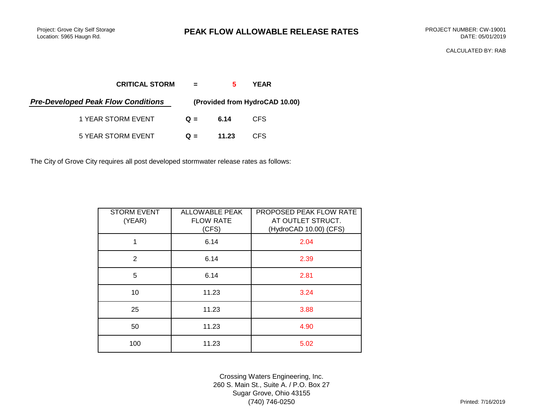# **PEAK FLOW ALLOWABLE RELEASE RATES** PROJECT NUMBER: CW-19001

CALCULATED BY: RAB

| <b>CRITICAL STORM</b>                     | $\equiv$ $\equiv$ | 5.    | YEAR                           |  |
|-------------------------------------------|-------------------|-------|--------------------------------|--|
| <b>Pre-Developed Peak Flow Conditions</b> |                   |       | (Provided from HydroCAD 10.00) |  |
| 1 YEAR STORM EVENT                        | $Q =$             | 6.14  | CFS.                           |  |
| 5 YEAR STORM EVENT                        | $Q =$             | 11.23 | CFS.                           |  |

The City of Grove City requires all post developed stormwater release rates as follows:

| <b>STORM EVENT</b><br>(YEAR) | <b>ALLOWABLE PEAK</b><br><b>FLOW RATE</b><br>(CFS) | PROPOSED PEAK FLOW RATE<br>AT OUTLET STRUCT.<br>(HydroCAD 10.00) (CFS) |
|------------------------------|----------------------------------------------------|------------------------------------------------------------------------|
| 1                            | 6.14                                               | 2.04                                                                   |
| 2                            | 6.14                                               | 2.39                                                                   |
| 5                            | 6.14                                               | 2.81                                                                   |
| 10                           | 11.23                                              | 3.24                                                                   |
| 25                           | 11.23                                              | 3.88                                                                   |
| 50                           | 11.23                                              | 4.90                                                                   |
| 100                          | 11.23                                              | 5.02                                                                   |

Crossing Waters Engineering, Inc. 260 S. Main St., Suite A. / P.O. Box 27 Sugar Grove, Ohio 43155 (740) 746-0250 Printed: 7/16/2019